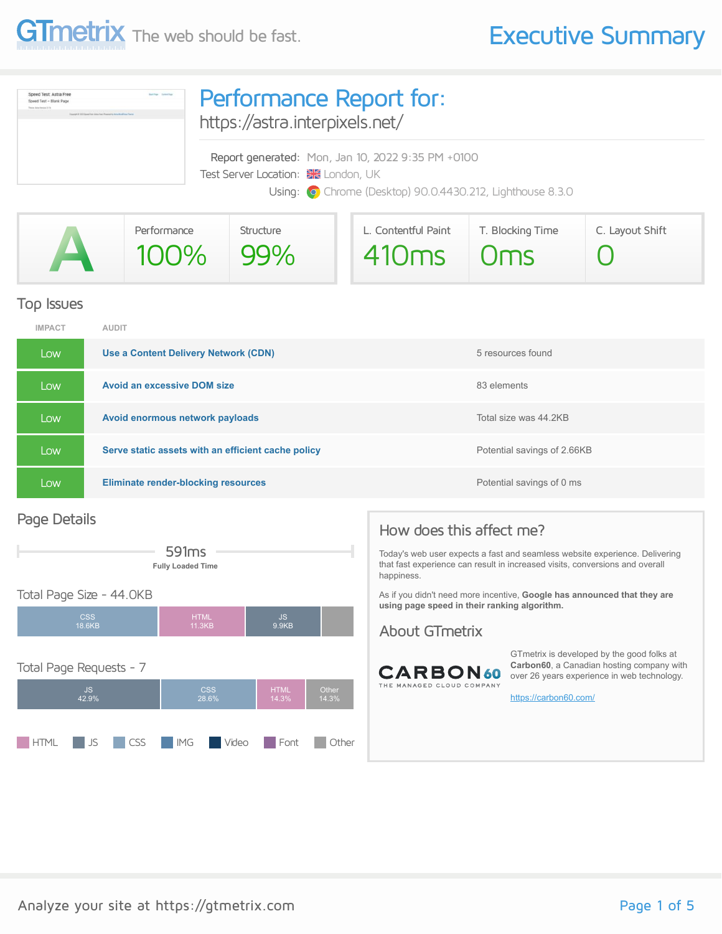

| Speed Test: Astra Free<br><b>Baltima</b> Synaship<br>Speed Test - Blank Page<br>Theorem Autor Herming, 3-74<br>Insurance at \$3.000 linear from dome-free (Research) to home that those Them | Performance Report for:<br>https://astra.interpixels.net/                                                                                            |  |  |  |  |
|----------------------------------------------------------------------------------------------------------------------------------------------------------------------------------------------|------------------------------------------------------------------------------------------------------------------------------------------------------|--|--|--|--|
|                                                                                                                                                                                              | Report generated: Mon, Jan 10, 2022 9:35 PM +0100<br>Test Server Location: X London, UK<br>Using: O Chrome (Desktop) 90.0.4430.212, Lighthouse 8.3.0 |  |  |  |  |

|   | Performance | Structure | L. Contentful Paint | T. Blocking Time | C. Layout Shift |
|---|-------------|-----------|---------------------|------------------|-----------------|
| A | 100% 99%    |           | 410ms Oms           |                  |                 |

#### Top Issues

| <b>IMPACT</b> | <b>AUDIT</b>                                       |                             |
|---------------|----------------------------------------------------|-----------------------------|
| Low           | Use a Content Delivery Network (CDN)               | 5 resources found           |
| Low           | <b>Avoid an excessive DOM size</b>                 | 83 elements                 |
| Low           | Avoid enormous network payloads                    | Total size was 44.2KB       |
| Low           | Serve static assets with an efficient cache policy | Potential savings of 2.66KB |
| Low           | <b>Eliminate render-blocking resources</b>         | Potential savings of 0 ms   |

#### Page Details



#### Total Page Size - 44.0KB



#### How does this affect me?

Today's web user expects a fast and seamless website experience. Delivering that fast experience can result in increased visits, conversions and overall happiness.

As if you didn't need more incentive, **Google has announced that they are using page speed in their ranking algorithm.**

#### About GTmetrix



GTmetrix is developed by the good folks at **Carbon60**, a Canadian hosting company with over 26 years experience in web technology.

<https://carbon60.com/>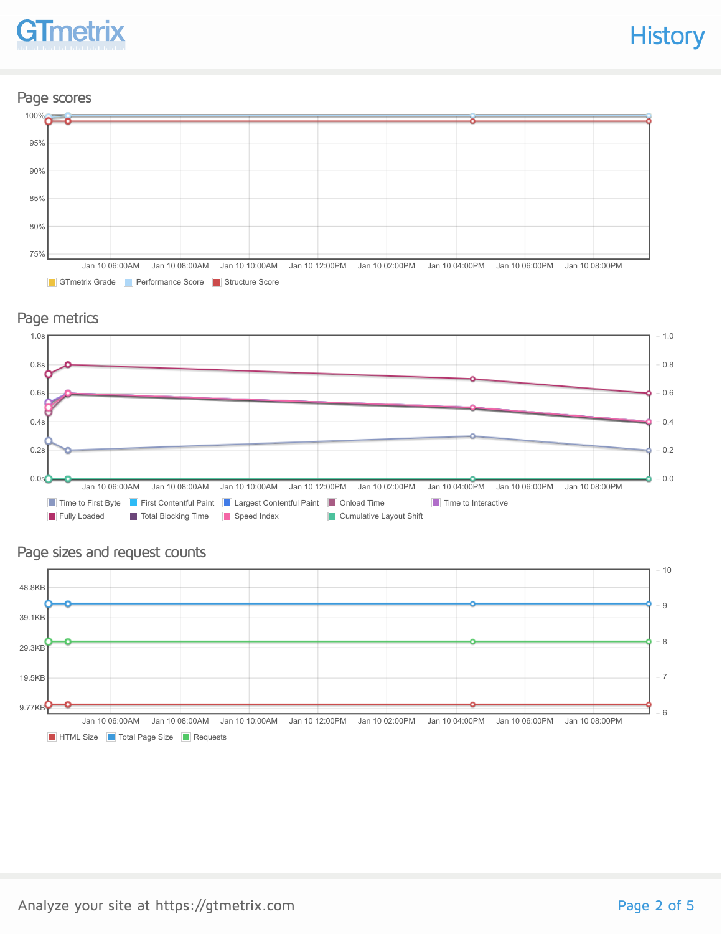# **GTmetrix**

#### Page scores



#### Page metrics



#### Page sizes and request counts

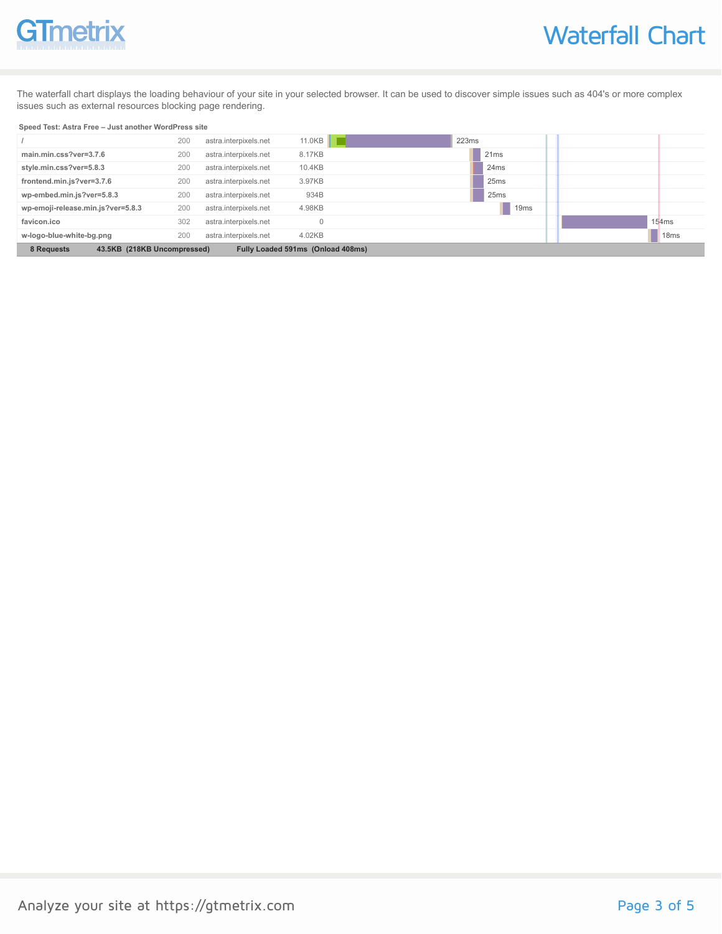# **GTmetrix**

The waterfall chart displays the loading behaviour of your site in your selected browser. It can be used to discover simple issues such as 404's or more complex issues such as external resources blocking page rendering.

#### **Speed Test: Astra Free – Just another WordPress site**

|                                           | 200 | astra.interpixels.net | 11.0KB                            | 223ms            |                  |
|-------------------------------------------|-----|-----------------------|-----------------------------------|------------------|------------------|
| main.min.css?ver=3.7.6                    | 200 | astra.interpixels.net | 8.17KB                            | 21ms             |                  |
| style.min.css?ver=5.8.3                   | 200 | astra.interpixels.net | 10.4KB                            | 24ms             |                  |
| frontend.min.js?ver=3.7.6                 | 200 | astra.interpixels.net | 3.97KB                            | 25ms             |                  |
| wp-embed.min.js?ver=5.8.3                 | 200 | astra.interpixels.net | 934B                              | 25ms             |                  |
| wp-emoji-release.min.js?ver=5.8.3         | 200 | astra.interpixels.net | 4.98KB                            | 19 <sub>ms</sub> |                  |
| favicon.ico                               | 302 | astra.interpixels.net |                                   |                  | 154ms            |
| w-logo-blue-white-bg.png                  | 200 | astra.interpixels.net | 4.02KB                            |                  | 18 <sub>ms</sub> |
| 8 Requests<br>43.5KB (218KB Uncompressed) |     |                       | Fully Loaded 591ms (Onload 408ms) |                  |                  |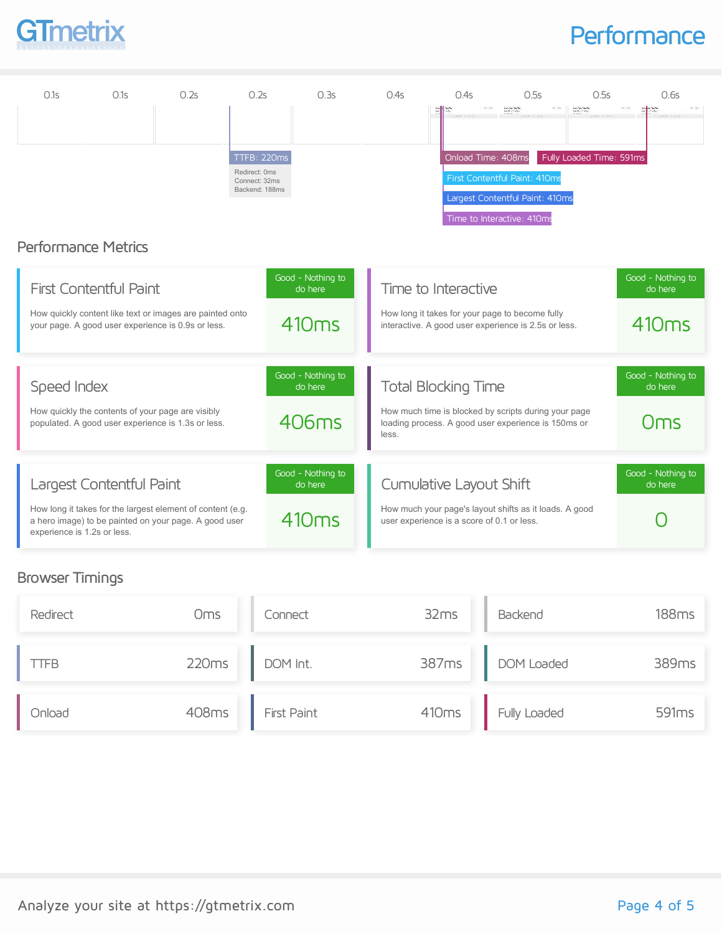

### **Performance**

| 0.1s                        | 0.1s                                                                                                                                            | 0.2s | 0.2s                                                            | 0.3s                                              | 0.4s  | 0.4s                                                                                                                                      | 0.5s                                                                                                                              | 0.5s                                                               | 0.6s                                              |
|-----------------------------|-------------------------------------------------------------------------------------------------------------------------------------------------|------|-----------------------------------------------------------------|---------------------------------------------------|-------|-------------------------------------------------------------------------------------------------------------------------------------------|-----------------------------------------------------------------------------------------------------------------------------------|--------------------------------------------------------------------|---------------------------------------------------|
|                             | <b>Performance Metrics</b>                                                                                                                      |      | TTFB: 220ms<br>Redirect: 0ms<br>Connect: 32ms<br>Backend: 188ms |                                                   |       | Onload Time: 408ms                                                                                                                        | London State<br>Service Control<br>First Contentful Paint: 410ms<br>Largest Contentful Paint: 410ms<br>Time to Interactive: 410ms | Local de Casalho<br>Service de Casalho<br>Fully Loaded Time: 591ms |                                                   |
|                             | <b>First Contentful Paint</b><br>How quickly content like text or images are painted onto<br>your page. A good user experience is 0.9s or less. |      |                                                                 | Good - Nothing to<br>do here<br>410 <sub>ms</sub> |       | Time to Interactive<br>How long it takes for your page to become fully<br>interactive. A good user experience is 2.5s or less.            |                                                                                                                                   |                                                                    | Good - Nothing to<br>do here<br>410 <sub>ms</sub> |
| Speed Index                 | How quickly the contents of your page are visibly<br>populated. A good user experience is 1.3s or less.                                         |      |                                                                 | Good - Nothing to<br>do here<br>406ms             | less. | <b>Total Blocking Time</b><br>How much time is blocked by scripts during your page<br>loading process. A good user experience is 150ms or |                                                                                                                                   |                                                                    | Good - Nothing to<br>do here<br>Oms               |
| experience is 1.2s or less. | Largest Contentful Paint<br>How long it takes for the largest element of content (e.g.<br>a hero image) to be painted on your page. A good user |      |                                                                 | Good - Nothing to<br>do here<br>410 <sub>ms</sub> |       | Cumulative Layout Shift<br>How much your page's layout shifts as it loads. A good<br>user experience is a score of 0.1 or less.           |                                                                                                                                   |                                                                    | Good - Nothing to<br>do here                      |

### Browser Timings

| Redirect | Oms   | Connect     | 32ms  | Backend          | <b>188ms</b>      |
|----------|-------|-------------|-------|------------------|-------------------|
| IFB.     | 220ms | DOM Int.    |       | 387ms DOM Loaded | 389ms             |
| Onload   | 408ms | First Paint | 410ms | Fully Loaded     | 591 <sub>ms</sub> |